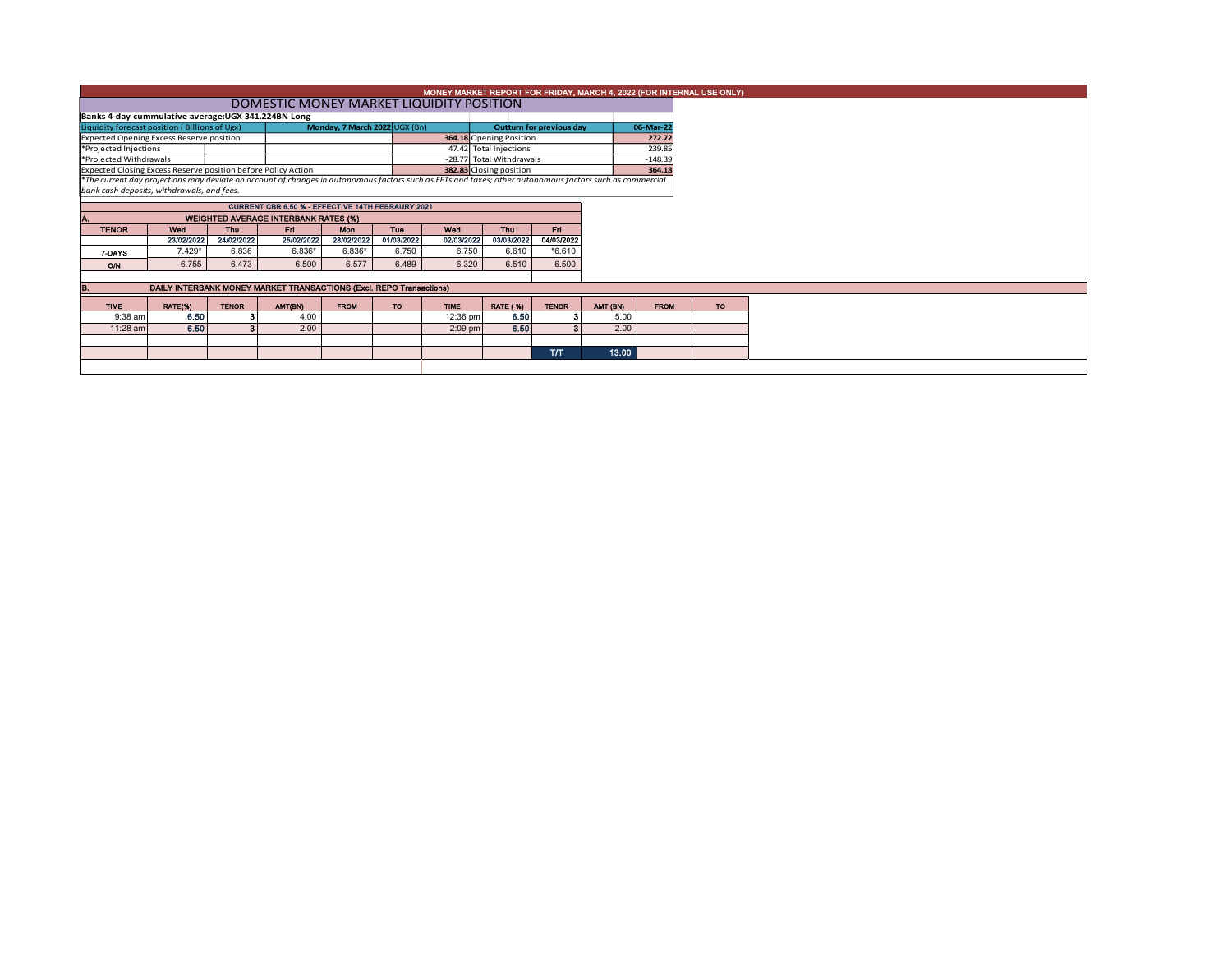|                                                               | MONEY MARKET REPORT FOR FRIDAY, MARCH 4, 2022 (FOR INTERNAL USE ONLY)                                                                                                                                  |                     |                        |                               |                     |                                                    |                         |                          |          |             |  |  |  |  |
|---------------------------------------------------------------|--------------------------------------------------------------------------------------------------------------------------------------------------------------------------------------------------------|---------------------|------------------------|-------------------------------|---------------------|----------------------------------------------------|-------------------------|--------------------------|----------|-------------|--|--|--|--|
|                                                               | DOMESTIC MONEY MARKET LIQUIDITY POSITION                                                                                                                                                               |                     |                        |                               |                     |                                                    |                         |                          |          |             |  |  |  |  |
| Banks 4-day cummulative average: UGX 341.224BN Long           |                                                                                                                                                                                                        |                     |                        |                               |                     |                                                    |                         |                          |          |             |  |  |  |  |
| Liquidity forecast position (Billions of Ugx)                 |                                                                                                                                                                                                        |                     |                        | Monday, 7 March 2022 UGX (Bn) |                     |                                                    |                         | Outturn for previous day |          | 06-Mar-22   |  |  |  |  |
| Expected Opening Excess Reserve position                      |                                                                                                                                                                                                        |                     |                        |                               |                     | 364.18 Opening Position                            |                         |                          |          | 272.72      |  |  |  |  |
| *Projected Injections                                         |                                                                                                                                                                                                        |                     |                        |                               |                     | 47.42 Total Injections<br>-28.77 Total Withdrawals |                         |                          |          | 239.85      |  |  |  |  |
| *Projected Withdrawals                                        |                                                                                                                                                                                                        |                     |                        |                               |                     |                                                    | 382.83 Closing position |                          |          | $-148.39$   |  |  |  |  |
| Expected Closing Excess Reserve position before Policy Action |                                                                                                                                                                                                        |                     | 364.18                 |                               |                     |                                                    |                         |                          |          |             |  |  |  |  |
|                                                               | *The current day projections may deviate on account of changes in autonomous factors such as EFTs and taxes; other autonomous factors such as commercial<br>bank cash deposits, withdrawals, and fees. |                     |                        |                               |                     |                                                    |                         |                          |          |             |  |  |  |  |
| CURRENT CBR 6.50 % - EFFECTIVE 14TH FEBRAURY 2021             |                                                                                                                                                                                                        |                     |                        |                               |                     |                                                    |                         |                          |          |             |  |  |  |  |
|                                                               |                                                                                                                                                                                                        |                     |                        |                               |                     |                                                    |                         |                          |          |             |  |  |  |  |
|                                                               | <b>WEIGHTED AVERAGE INTERBANK RATES (%)</b>                                                                                                                                                            |                     |                        |                               |                     |                                                    |                         |                          |          |             |  |  |  |  |
| <b>TENOR</b>                                                  | Wed                                                                                                                                                                                                    | Thu                 | Fri                    | <b>Mon</b>                    | <b>Tue</b>          | Wed                                                | <b>Thu</b>              | Fri.                     |          |             |  |  |  |  |
|                                                               | 23/02/2022<br>$7.429*$                                                                                                                                                                                 | 24/02/2022<br>6.836 | 25/02/2022<br>$6.836*$ | 28/02/2022<br>$6.836*$        | 01/03/2022<br>6.750 | 02/03/2022<br>6.750                                | 03/03/2022<br>6.610     | 04/03/2022<br>$*6.610$   |          |             |  |  |  |  |
| 7-DAYS                                                        |                                                                                                                                                                                                        |                     |                        |                               |                     |                                                    |                         |                          |          |             |  |  |  |  |
| O/N                                                           | 6.755                                                                                                                                                                                                  | 6.473               | 6.500                  | 6.577                         | 6.489               | 6.320                                              | 6.510                   | 6.500                    |          |             |  |  |  |  |
|                                                               |                                                                                                                                                                                                        |                     |                        |                               |                     |                                                    |                         |                          |          |             |  |  |  |  |
|                                                               | DAILY INTERBANK MONEY MARKET TRANSACTIONS (Excl. REPO Transactions)                                                                                                                                    |                     |                        |                               |                     |                                                    |                         |                          |          |             |  |  |  |  |
| <b>TIME</b>                                                   | RATE(%)                                                                                                                                                                                                | <b>TENOR</b>        | AMT(BN)                | <b>FROM</b>                   | <b>TO</b>           | <b>TIME</b>                                        | <b>RATE (%)</b>         | <b>TENOR</b>             | AMT (BN) | <b>FROM</b> |  |  |  |  |
| 9:38 am                                                       | 6.50                                                                                                                                                                                                   | -3                  | 4.00                   |                               |                     | 12:36 pm                                           | 6.50                    |                          | 5.00     |             |  |  |  |  |
| 11:28 am                                                      | 6.50                                                                                                                                                                                                   | А                   | 2.00                   |                               |                     | $2:09$ pm                                          | 6.50                    | 2                        | 2.00     |             |  |  |  |  |
|                                                               |                                                                                                                                                                                                        |                     |                        |                               |                     |                                                    |                         |                          |          |             |  |  |  |  |
|                                                               |                                                                                                                                                                                                        |                     |                        |                               |                     |                                                    |                         | <b>T/T</b>               | 13.00    |             |  |  |  |  |
|                                                               |                                                                                                                                                                                                        |                     |                        |                               |                     |                                                    |                         |                          |          |             |  |  |  |  |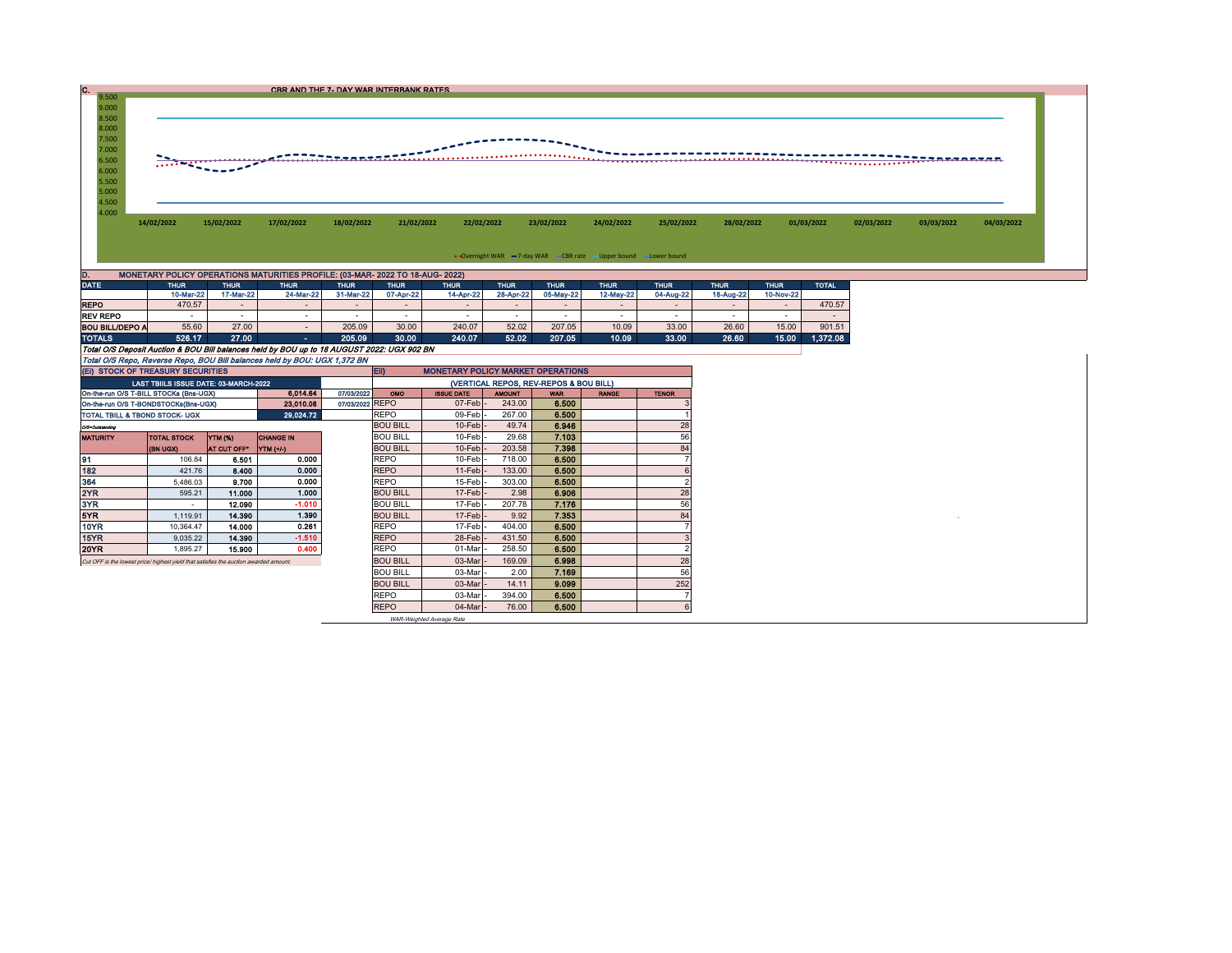| 9.500                                     |                                                                               |            |            | CBR AND THE 7- DAY WAR INTERBANK RATES |            |            |                                                                   |            |            |            |            |            |            |            |
|-------------------------------------------|-------------------------------------------------------------------------------|------------|------------|----------------------------------------|------------|------------|-------------------------------------------------------------------|------------|------------|------------|------------|------------|------------|------------|
| 9.000<br>8.500<br>8.000<br>7.500          |                                                                               |            |            |                                        |            |            |                                                                   |            |            |            |            |            |            |            |
| 7.000<br>6.500<br>6.000<br>5.500<br>5.000 |                                                                               |            |            |                                        |            |            |                                                                   |            |            |            |            |            |            |            |
| 4.500<br>4.000                            | 14/02/2022                                                                    | 15/02/2022 | 17/02/2022 | 18/02/2022                             | 21/02/2022 | 22/02/2022 | 23/02/2022                                                        | 24/02/2022 | 25/02/2022 | 28/02/2022 | 01/03/2022 | 02/03/2022 | 03/03/2022 | 04/03/2022 |
|                                           |                                                                               |            |            |                                        |            |            | • Overnight WAR -7-day WAR - CBR rate - Upper bound - Lower bound |            |            |            |            |            |            |            |
|                                           | MONETARY POLICY OPERATIONS MATURITIES PROFILE: (03-MAR- 2022 TO 18-AUG- 2022) |            |            |                                        |            |            |                                                                   |            |            |            |            |            |            |            |

| <b>DATE</b>                                                                                | <b>THUR</b> | <b>THUR</b> | <b>THUR</b> | <b>THUR</b> | <b>THUR</b>                                          | <b>THUR</b> | <b>THUR</b>              | <b>THUR</b> | <b>THUR</b> | <b>THUR</b> | <b>THUR</b> | <b>THUR</b> | <b>TOTAL</b> |  |
|--------------------------------------------------------------------------------------------|-------------|-------------|-------------|-------------|------------------------------------------------------|-------------|--------------------------|-------------|-------------|-------------|-------------|-------------|--------------|--|
|                                                                                            | 10-Mar-22   | 17-Mar-22   | 24-Mar-22   | 31-Mar-22   | 07-Apr-22                                            | 14-Apr-22   | 28-Apr-22                | 05-May-22   | 12-May-22   | 04-Aug-22   | 18-Aug-22   | 10-Nov-22   |              |  |
| <b>REPO</b>                                                                                | 470.57      |             |             |             |                                                      |             |                          |             |             |             |             |             | 470.57       |  |
| <b>REV REPO</b>                                                                            |             |             |             |             |                                                      |             | $\overline{\phantom{a}}$ |             |             |             |             |             |              |  |
| <b>BOU BILL/DEPO A</b>                                                                     | 55.60       | 27.00       |             | 205.09      | 30.00                                                | 240.07      | 52.02                    | 207.05      | 10.09       | 33.00       | 26.60       | 15.00       | 901.51       |  |
| <b>TOTALS</b>                                                                              | 526.17      | 27.00       | ۰.          | 205.09      | 30.00                                                | 240.07      | 52.02                    | 207.05      | 10.09       | 33.00       | 26.60       | 15.00       | 1.372.08     |  |
| Total O/S Deposit Auction & BOU Bill balances held by BOU up to 18 AUGUST 2022: UGX 902 BN |             |             |             |             |                                                      |             |                          |             |             |             |             |             |              |  |
| Total O/S Repo, Reverse Repo, BOU Bill balances held by BOU: UGX 1,372 BN                  |             |             |             |             |                                                      |             |                          |             |             |             |             |             |              |  |
| (EI) STOCK OF TREASURY SECURITIES                                                          |             |             |             |             | <b>E</b><br><b>MONETARY POLICY MARKET OPERATIONS</b> |             |                          |             |             |             |             |             |              |  |

| (EI) STOCK OF TREASURY SECURITIES                                                     |                                       |                |                  |                   | <b>MONETARY POLICY MARKET OPERATIONS</b><br><b>EID</b> |                     |              |              |  |     |  |  |  |
|---------------------------------------------------------------------------------------|---------------------------------------|----------------|------------------|-------------------|--------------------------------------------------------|---------------------|--------------|--------------|--|-----|--|--|--|
|                                                                                       | LAST TBIILS ISSUE DATE: 03-MARCH-2022 |                |                  |                   | (VERTICAL REPOS, REV-REPOS & BOU BILL)                 |                     |              |              |  |     |  |  |  |
| On-the-run O/S T-BILL STOCKs (Bns-UGX)                                                |                                       | 07/03/2022     | OMO              | <b>ISSUE DATE</b> | <b>AMOUNT</b>                                          | <b>WAR</b>          | <b>RANGE</b> | <b>TENOR</b> |  |     |  |  |  |
| On-the-run O/S T-BONDSTOCKs(Bns-UGX)                                                  |                                       |                | 23,010.08        | 07/03/2022 REPO   |                                                        | $07$ -Feb $\vert$ - | 243.00       | 6.500        |  |     |  |  |  |
| TOTAL TBILL & TBOND STOCK- UGX                                                        |                                       |                | 29,024.72        |                   | <b>REPO</b>                                            | 09-Feb-             | 267.00       | 6.500        |  |     |  |  |  |
| O/3=Outstanding                                                                       |                                       |                |                  |                   | <b>BOU BILL</b>                                        | $10$ -Feb $-$       | 49.74        | 6.946        |  | 28  |  |  |  |
| <b>MATURITY</b>                                                                       | <b>TOTAL STOCK</b>                    | <b>YTM (%)</b> | <b>CHANGE IN</b> |                   | <b>BOU BILL</b>                                        | 10-Feb -            | 29.68        | 7.103        |  | 56  |  |  |  |
|                                                                                       | (BN UGX)                              | AT CUT OFF"    | <b>YTM</b> (+/-) |                   | <b>BOU BILL</b>                                        | $10$ -Feb $-$       | 203.58       | 7.398        |  | 84  |  |  |  |
| 91                                                                                    | 106.84                                | 6.501          | 0.000            |                   | <b>REPO</b>                                            | $10$ -Feb $\vert$ - | 718.00       | 6.500        |  |     |  |  |  |
| 182                                                                                   | 421.76                                | 8.400          | 0.000            |                   | <b>REPO</b>                                            | $11-Feb$ -          | 133.00       | 6.500        |  |     |  |  |  |
| 364                                                                                   | 5,486.03                              | 9.700          | 0.000            |                   | <b>REPO</b>                                            | 15-Feb -            | 303.00       | 6.500        |  |     |  |  |  |
| 2YR                                                                                   | 595.21                                | 11.000         | 1.000            |                   | <b>BOU BILL</b>                                        | $17$ -Feb $\vert$ - | 2.98         | 6.906        |  | 28  |  |  |  |
| 3YR                                                                                   |                                       | 12.090         | $-1.010$         |                   | <b>BOU BILL</b>                                        | 17-Feb -            | 207.78       | 7.176        |  | 56  |  |  |  |
| 5YR                                                                                   | 1.119.91                              | 14.390         | 1.390            |                   | <b>BOU BILL</b>                                        | $17$ -Feb $-$       | 9.92         | 7.353        |  | 84  |  |  |  |
| 10YR                                                                                  | 10.364.47                             | 14.000         | 0.261            |                   | <b>REPO</b>                                            | 17-Feb -            | 404.00       | 6.500        |  |     |  |  |  |
| 15YR                                                                                  | 9,035.22                              | 14.390         | $-1.510$         |                   | <b>REPO</b>                                            | 28-Feb-             | 431.50       | 6.500        |  |     |  |  |  |
| 20YR                                                                                  | 1,895.27                              | 15.900         | 0.400            |                   | <b>REPO</b>                                            | 01-Mar              | 258.50       | 6.500        |  |     |  |  |  |
| Cut OFF is the lowest price/ highest yield that satisfies the auction awarded amount. |                                       |                |                  |                   | <b>BOU BILL</b>                                        | 03-Mar              | 169.09       | 6.998        |  | 28  |  |  |  |
|                                                                                       |                                       |                |                  |                   | <b>BOU BILL</b>                                        | 03-Mar              | 2.00         | 7.169        |  | 56  |  |  |  |
| <b>BOU BILL</b>                                                                       |                                       |                |                  |                   |                                                        | 03-Mar              | 14.11        | 9.099        |  | 252 |  |  |  |
|                                                                                       |                                       |                |                  |                   | <b>REPO</b>                                            | 03-Mar              | 394.00       | 6.500        |  |     |  |  |  |
|                                                                                       |                                       |                |                  |                   | <b>REPO</b>                                            | 04-Mar              | 76.00        | 6.500        |  |     |  |  |  |

WAR-Weighted Average Rate